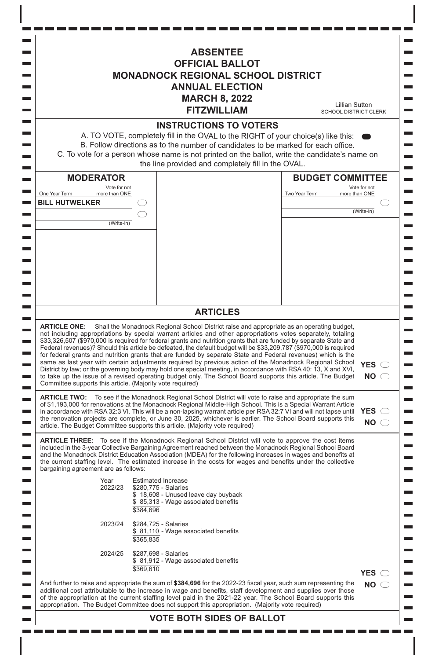| <b>ABSENTEE</b><br><b>OFFICIAL BALLOT</b><br><b>MONADNOCK REGIONAL SCHOOL DISTRICT</b><br><b>ANNUAL ELECTION</b><br><b>MARCH 8, 2022</b><br><b>Lillian Sutton</b><br><b>FITZWILLIAM</b><br><b>SCHOOL DISTRICT CLERK</b>                                                                                                                                                                                                                                                                                                                                                                                                                                                                                                                                                                                                                                                                                                                                                                                                |                                                                |                                                                                                                                                                                                                                                                                                                                                                                                                                                      |                                                           |                            |  |  |
|------------------------------------------------------------------------------------------------------------------------------------------------------------------------------------------------------------------------------------------------------------------------------------------------------------------------------------------------------------------------------------------------------------------------------------------------------------------------------------------------------------------------------------------------------------------------------------------------------------------------------------------------------------------------------------------------------------------------------------------------------------------------------------------------------------------------------------------------------------------------------------------------------------------------------------------------------------------------------------------------------------------------|----------------------------------------------------------------|------------------------------------------------------------------------------------------------------------------------------------------------------------------------------------------------------------------------------------------------------------------------------------------------------------------------------------------------------------------------------------------------------------------------------------------------------|-----------------------------------------------------------|----------------------------|--|--|
| <b>INSTRUCTIONS TO VOTERS</b><br>A. TO VOTE, completely fill in the OVAL to the RIGHT of your choice(s) like this:<br>B. Follow directions as to the number of candidates to be marked for each office.<br>C. To vote for a person whose name is not printed on the ballot, write the candidate's name on<br>the line provided and completely fill in the OVAL.                                                                                                                                                                                                                                                                                                                                                                                                                                                                                                                                                                                                                                                        |                                                                |                                                                                                                                                                                                                                                                                                                                                                                                                                                      |                                                           |                            |  |  |
| <b>MODERATOR</b><br>Vote for not<br>One Year Term<br>more than ONE<br><b>BILL HUTWELKER</b>                                                                                                                                                                                                                                                                                                                                                                                                                                                                                                                                                                                                                                                                                                                                                                                                                                                                                                                            |                                                                |                                                                                                                                                                                                                                                                                                                                                                                                                                                      | <b>BUDGET COMMITTEE</b><br>Two Year Term<br>more than ONE | Vote for not<br>(Write-in) |  |  |
| (Write-in)                                                                                                                                                                                                                                                                                                                                                                                                                                                                                                                                                                                                                                                                                                                                                                                                                                                                                                                                                                                                             |                                                                |                                                                                                                                                                                                                                                                                                                                                                                                                                                      |                                                           |                            |  |  |
|                                                                                                                                                                                                                                                                                                                                                                                                                                                                                                                                                                                                                                                                                                                                                                                                                                                                                                                                                                                                                        |                                                                | <b>ARTICLES</b>                                                                                                                                                                                                                                                                                                                                                                                                                                      |                                                           |                            |  |  |
| ARTICLE ONE: Shall the Monadnock Regional School District raise and appropriate as an operating budget,<br>not including appropriations by special warrant articles and other appropriations votes separately, totaling<br>\$33,326,507 (\$970,000 is required for federal grants and nutrition grants that are funded by separate State and<br>Federal revenues)? Should this article be defeated, the default budget will be \$33,209,787 (\$970,000 is required<br>for federal grants and nutrition grants that are funded by separate State and Federal revenues) which is the<br>same as last year with certain adjustments required by previous action of the Monadnock Regional School<br><b>YES</b><br>District by law; or the governing body may hold one special meeting, in accordance with RSA 40: 13, X and XVI,<br>to take up the issue of a revised operating budget only. The School Board supports this article. The Budget<br><b>NO</b><br>Committee supports this article. (Majority vote required) |                                                                |                                                                                                                                                                                                                                                                                                                                                                                                                                                      |                                                           |                            |  |  |
| <b>ARTICLE TWO:</b> To see if the Monadnock Regional School District will vote to raise and appropriate the sum<br>of \$1,193,000 for renovations at the Monadnock Regional Middle-High School. This is a Special Warrant Article<br><b>YES</b><br>in accordance with RSA 32:3 VI. This will be a non-lapsing warrant article per RSA 32:7 VI and will not lapse until<br>the renovation projects are complete, or June 30, 2025, whichever is earlier. The School Board supports this<br><b>NO</b><br>article. The Budget Committee supports this article. (Majority vote required)                                                                                                                                                                                                                                                                                                                                                                                                                                   |                                                                |                                                                                                                                                                                                                                                                                                                                                                                                                                                      |                                                           |                            |  |  |
| <b>ARTICLE THREE:</b> To see if the Monadnock Regional School District will vote to approve the cost items<br>included in the 3-year Collective Bargaining Agreement reached between the Monadnock Regional School Board<br>and the Monadnock District Education Association (MDEA) for the following increases in wages and benefits at<br>the current staffing level. The estimated increase in the costs for wages and benefits under the collective<br>bargaining agreement are as follows:                                                                                                                                                                                                                                                                                                                                                                                                                                                                                                                        |                                                                |                                                                                                                                                                                                                                                                                                                                                                                                                                                      |                                                           |                            |  |  |
| Year<br>2022/23                                                                                                                                                                                                                                                                                                                                                                                                                                                                                                                                                                                                                                                                                                                                                                                                                                                                                                                                                                                                        | <b>Estimated Increase</b><br>\$280,775 - Salaries<br>\$384,696 | \$18,608 - Unused leave day buyback<br>\$85,313 - Wage associated benefits                                                                                                                                                                                                                                                                                                                                                                           |                                                           |                            |  |  |
| 2023/24                                                                                                                                                                                                                                                                                                                                                                                                                                                                                                                                                                                                                                                                                                                                                                                                                                                                                                                                                                                                                | \$284,725 - Salaries<br>\$365,835                              | \$81,110 - Wage associated benefits                                                                                                                                                                                                                                                                                                                                                                                                                  |                                                           |                            |  |  |
| 2024/25                                                                                                                                                                                                                                                                                                                                                                                                                                                                                                                                                                                                                                                                                                                                                                                                                                                                                                                                                                                                                | \$287,698 - Salaries<br>\$369,610                              | \$81,912 - Wage associated benefits                                                                                                                                                                                                                                                                                                                                                                                                                  |                                                           | <b>YES</b>                 |  |  |
|                                                                                                                                                                                                                                                                                                                                                                                                                                                                                                                                                                                                                                                                                                                                                                                                                                                                                                                                                                                                                        |                                                                | And further to raise and appropriate the sum of \$384,696 for the 2022-23 fiscal year, such sum representing the<br>additional cost attributable to the increase in wage and benefits, staff development and supplies over those<br>of the appropriation at the current staffing level paid in the 2021-22 year. The School Board supports this<br>appropriation. The Budget Committee does not support this appropriation. (Majority vote required) |                                                           | <b>NO</b>                  |  |  |
|                                                                                                                                                                                                                                                                                                                                                                                                                                                                                                                                                                                                                                                                                                                                                                                                                                                                                                                                                                                                                        |                                                                | <b>VOTE BOTH SIDES OF BALLOT</b>                                                                                                                                                                                                                                                                                                                                                                                                                     |                                                           |                            |  |  |

 $\mathcal{L}_{\text{max}}$  $\equiv$ 

 $\mathcal{L}_{\mathcal{A}}$ 

 $\overline{\phantom{0}}$  $\overline{\phantom{0}}$  $\mathcal{L}_{\mathcal{A}}$  $\overline{\phantom{a}}$  $\overline{\phantom{a}}$  $\overline{\phantom{a}}$  $\overline{\phantom{a}}$ 

 $\overline{\phantom{a}}$ 

 $\overline{\phantom{a}}$  $\overline{\phantom{0}}$  $\overline{\phantom{a}}$ 

 $\blacksquare$  $\mathcal{L}_{\mathcal{A}}$  $\overline{\phantom{0}}$  $\overline{\phantom{a}}$  $\mathcal{L}_{\text{max}}$  $\overline{\phantom{0}}$  $\sim$  $\overline{\phantom{a}}$  $\overline{\phantom{a}}$  $\overline{\phantom{0}}$  $\overline{\phantom{0}}$  $\overline{\phantom{a}}$ 

 $\overline{\phantom{a}}$  $\overline{\phantom{a}}$  $\sim$  $\overline{\phantom{a}}$  $\mathcal{L}_{\mathcal{A}}$  $\overline{\phantom{0}}$  $\overline{\phantom{a}}$  $\mathcal{L}_{\text{max}}$  $\overline{\phantom{0}}$  $\sim$  $\mathcal{L}_{\text{max}}$  $\overline{\phantom{a}}$  $\overline{\phantom{a}}$ 

 $\blacksquare$  $\overline{\phantom{0}}$ 

 $\overline{\phantom{a}}$  $\overline{\phantom{a}}$ 

 $\blacksquare$ 

--------<br>-------

Ξ

------------<br>----------

--------------

 $\equiv$ 

 $\overline{\phantom{a}}$ 

 $\mathcal{L}_{\mathcal{A}}$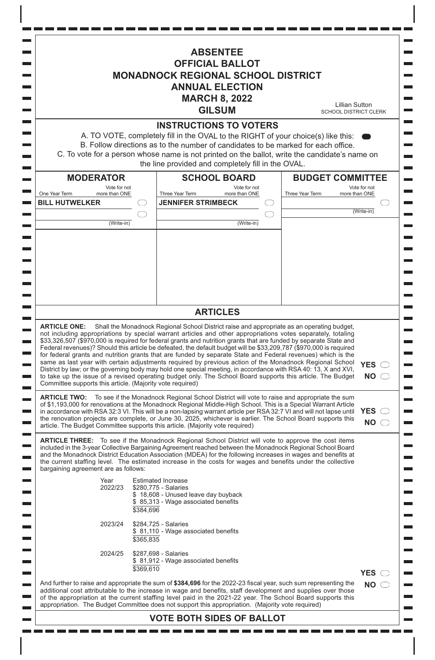**ABSENTEE OFFICIAL BALLOT MONADNOCK REGIONAL SCHOOL DISTRICT ANNUAL ELECTION MARCH 8, 2022** Lillian Sutton **GILSUM** SCHOOL DISTRICT CLERK **INSTRUCTIONS TO VOTERS** A. TO VOTE, completely fill in the OVAL to the RIGHT of your choice(s) like this: B. Follow directions as to the number of candidates to be marked for each office. C. To vote for <sup>a</sup> person whose name is not printed on the ballot, write the candidate's name on the line provided and completely fill in the OVAL. **SCHOOL BOARD BUDGET COMMITTEE MODERATOR** Vote for not Vote for not<br>more than ONE Vote for not One Year Term more than ONE Three Year Term more than ONE Three Year Term more than ONE **BILL HUTWELKER JENNIFER STRIMBECK** (Write-in)  $\subset$ (Write-in) (Write-in) **ARTICLES ARTICLE ONE:** Shall the Monadnock Regional School District raise and appropriate as an operating budget, not including appropriations by special warrant articles and other appropriations votes separately, totaling \$33,326,507 (\$970,000 is required for federal grants and nutrition grants that are funded by separate State and Federal revenues)? Should this article be defeated, the default budget will be \$33,209,787 (\$970,000 is required for federal grants and nutrition grants that are funded by separate State and Federal revenues) which is the same as last year with certain adjustments required by previous action of the Monadnock Regional School **YES** District by law; or the governing body may hold one special meeting, in accordance with RSA 40: 13, X and XVI, to take up the issue of a revised operating budget only. The School Board supports this article. The Budget **NO** Committee supports this article. (Majority vote required) **ARTICLE TWO:** To see if the Monadnock Regional School District will vote to raise and appropriate the sum of \$1,193,000 for renovations at the Monadnock Regional Middle-High School. This is a Special Warrant Article in accordance with RSA 32:3 VI. This will be a non-lapsing warrant article per RSA 32:7 VI and will not lapse until **YES** the renovation projects are complete, or June 30, 2025, whichever is earlier. The School Board supports this **NO** article. The Budget Committee supports this article. (Majority vote required) **ARTICLE THREE:** To see if the Monadnock Regional School District will vote to approve the cost items included in the 3-year Collective Bargaining Agreement reached between the Monadnock Regional School Board and the Monadnock District Education Association (MDEA) for the following increases in wages and benefits at the current staffing level. The estimated increase in the costs for wages and benefits under the collective bargaining agreement are as follows: Year Estimated Increase<br>2022/23 \$280.775 - Salaries \$280,775 - Salaries \$ 18,608 - Unused leave day buyback  $$85,313$  - Wage associated benefits \$384,696 2023/24 \$284,725 - Salaries  $$81,110$  - Wage associated benefits \$365,835 2024/25 \$287,698 - Salaries  $$81,912$  - Wage associated benefits \$369,610 **YES** And further to raise and appropriate the sum of **\$384,696** for the 2022-23 fiscal year, such sum representing the **NO** additional cost attributable to the increase in wage and benefits, staff development and supplies over those of the appropriation at the current staffing level paid in the 2021-22 year. The School Board supports this appropriation. The Budget Committee does not support this appropriation. (Majority vote required) **VOTE BOTH SIDES OF BALLOT**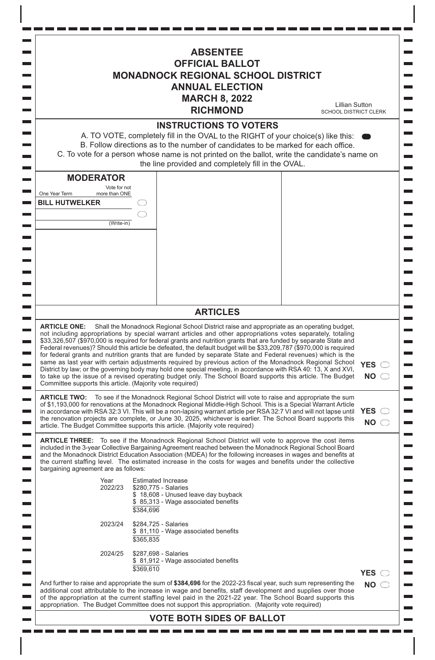|                                                                                                           | <b>ABSENTEE</b><br><b>OFFICIAL BALLOT</b><br><b>MONADNOCK REGIONAL SCHOOL DISTRICT</b><br><b>ANNUAL ELECTION</b><br><b>MARCH 8, 2022</b><br><b>RICHMOND</b>                                                                                                                                                                                                                                                                                                                                                                                                                                                                                                                                                                                                                                                                                                                                                       | <b>Lillian Sutton</b><br><b>SCHOOL DISTRICT CLERK</b> |
|-----------------------------------------------------------------------------------------------------------|-------------------------------------------------------------------------------------------------------------------------------------------------------------------------------------------------------------------------------------------------------------------------------------------------------------------------------------------------------------------------------------------------------------------------------------------------------------------------------------------------------------------------------------------------------------------------------------------------------------------------------------------------------------------------------------------------------------------------------------------------------------------------------------------------------------------------------------------------------------------------------------------------------------------|-------------------------------------------------------|
|                                                                                                           | <b>INSTRUCTIONS TO VOTERS</b><br>A. TO VOTE, completely fill in the OVAL to the RIGHT of your choice(s) like this:<br>B. Follow directions as to the number of candidates to be marked for each office.<br>C. To vote for a person whose name is not printed on the ballot, write the candidate's name on<br>the line provided and completely fill in the OVAL.                                                                                                                                                                                                                                                                                                                                                                                                                                                                                                                                                   |                                                       |
| <b>MODERATOR</b><br>Vote for not<br>One Year Term<br>more than ONE<br><b>BILL HUTWELKER</b><br>(Write-in) |                                                                                                                                                                                                                                                                                                                                                                                                                                                                                                                                                                                                                                                                                                                                                                                                                                                                                                                   |                                                       |
|                                                                                                           | <b>ARTICLES</b>                                                                                                                                                                                                                                                                                                                                                                                                                                                                                                                                                                                                                                                                                                                                                                                                                                                                                                   |                                                       |
| <b>ARTICLE ONE:</b><br>Committee supports this article. (Majority vote required)                          | Shall the Monadnock Regional School District raise and appropriate as an operating budget,<br>not including appropriations by special warrant articles and other appropriations votes separately, totaling<br>\$33,326,507 (\$970,000 is required for federal grants and nutrition grants that are funded by separate State and<br>Federal revenues)? Should this article be defeated, the default budget will be \$33,209,787 (\$970,000 is required<br>for federal grants and nutrition grants that are funded by separate State and Federal revenues) which is the<br>same as last year with certain adjustments required by previous action of the Monadnock Regional School<br>District by law; or the governing body may hold one special meeting, in accordance with RSA 40: 13, X and XVI,<br>to take up the issue of a revised operating budget only. The School Board supports this article. The Budget | <b>YES</b><br><b>NO</b>                               |
|                                                                                                           | <b>ARTICLE TWO:</b> To see if the Monadnock Regional School District will vote to raise and appropriate the sum<br>of \$1,193,000 for renovations at the Monadnock Regional Middle-High School. This is a Special Warrant Article<br>in accordance with RSA 32:3 VI. This will be a non-lapsing warrant article per RSA 32:7 VI and will not lapse until<br>the renovation projects are complete, or June 30, 2025, whichever is earlier. The School Board supports this<br>article. The Budget Committee supports this article. (Majority vote required)                                                                                                                                                                                                                                                                                                                                                         | <b>YES</b><br><b>NO</b>                               |
| bargaining agreement are as follows:                                                                      | <b>ARTICLE THREE:</b> To see if the Monadnock Regional School District will vote to approve the cost items<br>included in the 3-year Collective Bargaining Agreement reached between the Monadnock Regional School Board<br>and the Monadnock District Education Association (MDEA) for the following increases in wages and benefits at<br>the current staffing level. The estimated increase in the costs for wages and benefits under the collective                                                                                                                                                                                                                                                                                                                                                                                                                                                           |                                                       |
| Year<br>2022/23                                                                                           | <b>Estimated Increase</b><br>\$280,775 - Salaries<br>\$18,608 - Unused leave day buyback<br>\$85,313 - Wage associated benefits<br>\$384,696                                                                                                                                                                                                                                                                                                                                                                                                                                                                                                                                                                                                                                                                                                                                                                      |                                                       |
| 2023/24                                                                                                   | \$284,725 - Salaries<br>\$ 81,110 - Wage associated benefits<br>\$365,835                                                                                                                                                                                                                                                                                                                                                                                                                                                                                                                                                                                                                                                                                                                                                                                                                                         |                                                       |
| 2024/25                                                                                                   | \$287,698 - Salaries<br>\$81,912 - Wage associated benefits<br>\$369,610                                                                                                                                                                                                                                                                                                                                                                                                                                                                                                                                                                                                                                                                                                                                                                                                                                          | <b>YES</b>                                            |
|                                                                                                           | And further to raise and appropriate the sum of \$384,696 for the 2022-23 fiscal year, such sum representing the<br>additional cost attributable to the increase in wage and benefits, staff development and supplies over those                                                                                                                                                                                                                                                                                                                                                                                                                                                                                                                                                                                                                                                                                  | <b>NO</b>                                             |

an part

 $\overline{\phantom{a}}$  $\frac{1}{\sqrt{2}}$ 

 $\mathcal{L}_{\mathcal{A}}$ 

 $\overline{\phantom{a}}$ 

 $\overline{\phantom{0}}$  $\blacksquare$ 

 $\blacksquare$ 

 $\blacksquare$ 

 $\blacksquare$ 

 $\blacksquare$ 

 $\overline{\phantom{a}}$ 

 $\equiv$ 

 $\blacksquare$ 

 $\overline{\phantom{a}}$ 

 $\overline{\phantom{a}}$ 

 $\blacksquare$ 

 $\blacksquare$ 

 $\overline{\phantom{0}}$ 

 $\blacksquare$  $\equiv$ 

 $\overline{\phantom{0}}$ 

I

 $\mathsf I$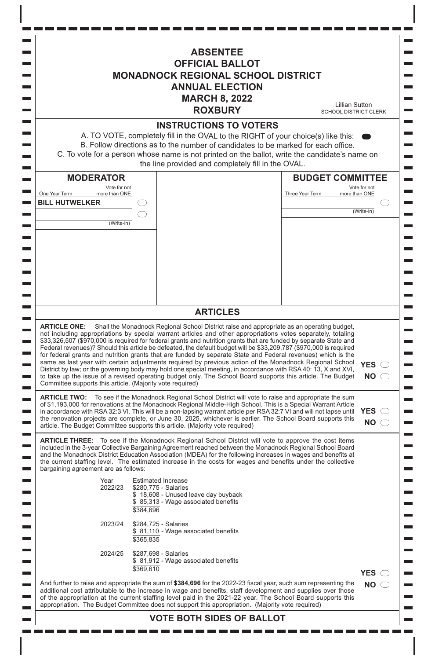|                                                                                                         | <b>ABSENTEE</b><br><b>OFFICIAL BALLOT</b><br><b>MONADNOCK REGIONAL SCHOOL DISTRICT</b><br><b>ANNUAL ELECTION</b><br><b>MARCH 8, 2022</b><br><b>ROXBURY</b>                                                                                                                                                                                                                                                                                                                                                                                                                                                                                                                                                                                                                                                                                                                                                                                                                                                                                                                                                                         | <b>Lillian Sutton</b><br><b>SCHOOL DISTRICT CLERK</b>                  |
|---------------------------------------------------------------------------------------------------------|------------------------------------------------------------------------------------------------------------------------------------------------------------------------------------------------------------------------------------------------------------------------------------------------------------------------------------------------------------------------------------------------------------------------------------------------------------------------------------------------------------------------------------------------------------------------------------------------------------------------------------------------------------------------------------------------------------------------------------------------------------------------------------------------------------------------------------------------------------------------------------------------------------------------------------------------------------------------------------------------------------------------------------------------------------------------------------------------------------------------------------|------------------------------------------------------------------------|
|                                                                                                         | <b>INSTRUCTIONS TO VOTERS</b><br>A. TO VOTE, completely fill in the OVAL to the RIGHT of your choice(s) like this:<br>B. Follow directions as to the number of candidates to be marked for each office.<br>C. To vote for a person whose name is not printed on the ballot, write the candidate's name on<br>the line provided and completely fill in the OVAL.                                                                                                                                                                                                                                                                                                                                                                                                                                                                                                                                                                                                                                                                                                                                                                    |                                                                        |
| <b>MODERATOR</b><br>Vote for not<br>One Year Term<br>more than ONE<br><b>BILL HUTWELKER</b>             | Three Year Term                                                                                                                                                                                                                                                                                                                                                                                                                                                                                                                                                                                                                                                                                                                                                                                                                                                                                                                                                                                                                                                                                                                    | <b>BUDGET COMMITTEE</b><br>Vote for not<br>more than ONE<br>(Write-in) |
| (Write-in)                                                                                              |                                                                                                                                                                                                                                                                                                                                                                                                                                                                                                                                                                                                                                                                                                                                                                                                                                                                                                                                                                                                                                                                                                                                    |                                                                        |
| <b>ARTICLE ONE:</b><br>Committee supports this article. (Majority vote required)<br><b>ARTICLE TWO:</b> | Shall the Monadnock Regional School District raise and appropriate as an operating budget,<br>not including appropriations by special warrant articles and other appropriations votes separately, totaling<br>\$33,326,507 (\$970,000 is required for federal grants and nutrition grants that are funded by separate State and<br>Federal revenues)? Should this article be defeated, the default budget will be \$33,209,787 (\$970,000 is required<br>for federal grants and nutrition grants that are funded by separate State and Federal revenues) which is the<br>same as last year with certain adjustments required by previous action of the Monadnock Regional School<br>District by law; or the governing body may hold one special meeting, in accordance with RSA 40: 13, X and XVI,<br>to take up the issue of a revised operating budget only. The School Board supports this article. The Budget<br>To see if the Monadnock Regional School District will vote to raise and appropriate the sum<br>of \$1,193,000 for renovations at the Monadnock Regional Middle-High School. This is a Special Warrant Article | <b>YES</b><br><b>NO</b><br><b>YES</b>                                  |
| bargaining agreement are as follows:                                                                    | in accordance with RSA 32:3 VI. This will be a non-lapsing warrant article per RSA 32:7 VI and will not lapse until<br>the renovation projects are complete, or June 30, 2025, whichever is earlier. The School Board supports this<br>article. The Budget Committee supports this article. (Majority vote required)<br><b>ARTICLE THREE:</b> To see if the Monadnock Regional School District will vote to approve the cost items<br>included in the 3-year Collective Bargaining Agreement reached between the Monadnock Regional School Board<br>and the Monadnock District Education Association (MDEA) for the following increases in wages and benefits at<br>the current staffing level. The estimated increase in the costs for wages and benefits under the collective                                                                                                                                                                                                                                                                                                                                                    | <b>NO</b>                                                              |
| Year<br>2022/23                                                                                         | <b>Estimated Increase</b><br>\$280,775 - Salaries<br>\$18,608 - Unused leave day buyback<br>\$85,313 - Wage associated benefits<br>\$384,696                                                                                                                                                                                                                                                                                                                                                                                                                                                                                                                                                                                                                                                                                                                                                                                                                                                                                                                                                                                       |                                                                        |
| 2023/24                                                                                                 | \$284,725 - Salaries<br>\$81,110 - Wage associated benefits<br>\$365,835                                                                                                                                                                                                                                                                                                                                                                                                                                                                                                                                                                                                                                                                                                                                                                                                                                                                                                                                                                                                                                                           |                                                                        |
| 2024/25                                                                                                 | \$287,698 - Salaries<br>\$81,912 - Wage associated benefits<br>\$369,610                                                                                                                                                                                                                                                                                                                                                                                                                                                                                                                                                                                                                                                                                                                                                                                                                                                                                                                                                                                                                                                           | <b>YES</b>                                                             |
|                                                                                                         | And further to raise and appropriate the sum of \$384,696 for the 2022-23 fiscal year, such sum representing the<br>additional cost attributable to the increase in wage and benefits, staff development and supplies over those<br>of the appropriation at the current staffing level paid in the 2021-22 year. The School Board supports this<br>appropriation. The Budget Committee does not support this appropriation. (Majority vote required)                                                                                                                                                                                                                                                                                                                                                                                                                                                                                                                                                                                                                                                                               | <b>NO</b>                                                              |

 $\overline{\phantom{a}}$ 

 $\mathcal{L}_{\text{max}}$ 

 $\overline{\phantom{a}}$ 

 $\overline{\phantom{a}}$  $\overline{\phantom{0}}$ 

 $\mathcal{L}_{\mathcal{A}}$ 

 $\overline{\phantom{0}}$  $\blacksquare$ 

 $\blacksquare$ 

 $\overline{\phantom{0}}$ 

 $\overline{\phantom{a}}$ 

 $\mathcal{L}_{\mathcal{A}}$ 

 $\overline{\phantom{a}}$  $\blacksquare$ 

 $\blacksquare$ 

 $\overline{\phantom{a}}$ 

 $\overline{\phantom{a}}$ 

 $\overline{\phantom{a}}$ 

 $\overline{\phantom{0}}$ 

 $\blacksquare$ 

 $\blacksquare$ 

 $\overline{\phantom{a}}$ 

 $\overline{\phantom{a}}$ 

 $\blacksquare$ 

 $\overline{\phantom{a}}$ 

 $\blacksquare$  $\blacksquare$ 

 $\overline{\phantom{a}}$ 

 $\blacksquare$  $\overline{\phantom{0}}$ 

 $\blacksquare$  $\equiv$ 

 $\overline{\phantom{a}}$ 

I

 $\Box$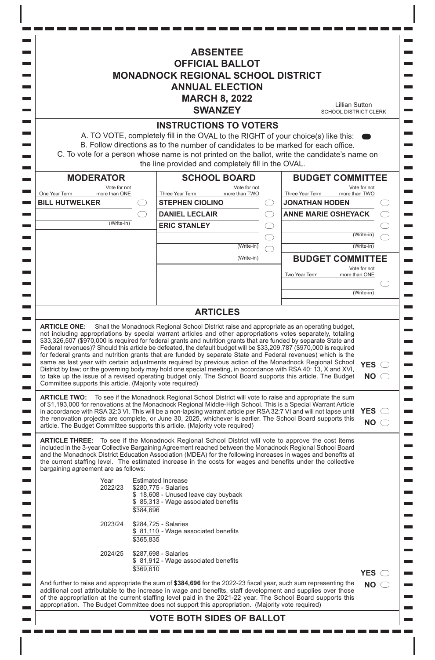7 I I I **ABSENTEE OFFICIAL BALLOT MONADNOCK REGIONAL SCHOOL DISTRICT ANNUAL ELECTION MARCH 8, 2022** Lillian Sutton **SWANZEY** SCHOOL DISTRICT CLERK **INSTRUCTIONS TO VOTERS** A. TO VOTE, completely fill in the OVAL to the RIGHT of your choice(s) like this: B. Follow directions as to the number of candidates to be marked for each office. C. To vote for <sup>a</sup> person whose name is not printed on the ballot, write the candidate's name on the line provided and completely fill in the OVAL. **SCHOOL BOARD BUDGET COMMITTEE MODERATOR** Vote for not Vote for not<br>more than TWO Vote for not One Year Term more than ONE Three Year Term more than TWO Three Year Term more than TWO **BILL HUTWELKER STEPHEN CIOLINO JONATHAN HODEN DANIEL LECLAIR ANNE MARIE OSHEYACK** (Write-in) **ERIC STANLEY** (Write-in) (Write-in) (Write-in) (Write-in) **BUDGET COMMITTEE** Vote for not Two Year Term more than ONE (Write-in) **ARTICLES ARTICLE ONE:** Shall the Monadnock Regional School District raise and appropriate as an operating budget, not including appropriations by special warrant articles and other appropriations votes separately, totaling \$33,326,507 (\$970,000 is required for federal grants and nutrition grants that are funded by separate State and Federal revenues)? Should this article be defeated, the default budget will be \$33,209,787 (\$970,000 is required for federal grants and nutrition grants that are funded by separate State and Federal revenues) which is the same as last year with certain adjustments required by previous action of the Monadnock Regional School **YES** District by law; or the governing body may hold one special meeting, in accordance with RSA 40: 13, X and XVI, to take up the issue of a revised operating budget only. The School Board supports this article. The Budget **NO** Committee supports this article. (Majority vote required) **ARTICLE TWO:** To see if the Monadnock Regional School District will vote to raise and appropriate the sum of \$1,193,000 for renovations at the Monadnock Regional Middle-High School. This is a Special Warrant Article in accordance with RSA 32:3 VI. This will be a non-lapsing warrant article per RSA 32:7 VI and will not lapse until **YES** the renovation projects are complete, or June 30, 2025, whichever is earlier. The School Board supports this **NO** article. The Budget Committee supports this article. (Majority vote required) **ARTICLE THREE:** To see if the Monadnock Regional School District will vote to approve the cost items included in the 3-year Collective Bargaining Agreement reached between the Monadnock Regional School Board and the Monadnock District Education Association (MDEA) for the following increases in wages and benefits at the current staffing level. The estimated increase in the costs for wages and benefits under the collective bargaining agreement are as follows: Year Estimated Increase<br>2022/23 \$280.775 - Salaries \$280,775 - Salaries \$ 18,608 - Unused leave day buyback \$ 85,313 - Wage associated benefits \$384,696 2023/24 \$284,725 - Salaries  $$81,110$  - Wage associated benefits \$365,835 2024/25 \$287,698 - Salaries  $$81,912$  - Wage associated benefits \$369,610 **YES** And further to raise and appropriate the sum of **\$384,696** for the 2022-23 fiscal year, such sum representing the **NO** additional cost attributable to the increase in wage and benefits, staff development and supplies over those of the appropriation at the current staffing level paid in the 2021-22 year. The School Board supports this appropriation. The Budget Committee does not support this appropriation. (Majority vote required)

## **VOTE BOTH SIDES OF BALLOT**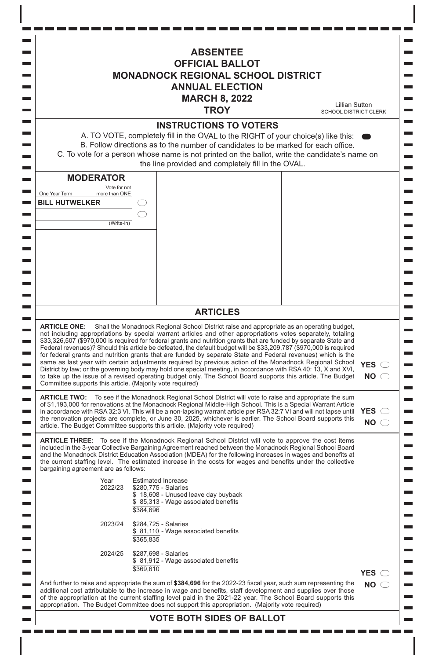|                                                                                                           | <b>ABSENTEE</b><br><b>OFFICIAL BALLOT</b><br><b>MONADNOCK REGIONAL SCHOOL DISTRICT</b><br><b>ANNUAL ELECTION</b><br><b>MARCH 8, 2022</b><br><b>TROY</b>                                                                                                                                                                                                                                                                                                                                                                                                                                                                                                                                                                                                                                                                                                                                                           | <b>Lillian Sutton</b><br><b>SCHOOL DISTRICT CLERK</b> |
|-----------------------------------------------------------------------------------------------------------|-------------------------------------------------------------------------------------------------------------------------------------------------------------------------------------------------------------------------------------------------------------------------------------------------------------------------------------------------------------------------------------------------------------------------------------------------------------------------------------------------------------------------------------------------------------------------------------------------------------------------------------------------------------------------------------------------------------------------------------------------------------------------------------------------------------------------------------------------------------------------------------------------------------------|-------------------------------------------------------|
|                                                                                                           | <b>INSTRUCTIONS TO VOTERS</b><br>A. TO VOTE, completely fill in the OVAL to the RIGHT of your choice(s) like this:<br>B. Follow directions as to the number of candidates to be marked for each office.<br>C. To vote for a person whose name is not printed on the ballot, write the candidate's name on<br>the line provided and completely fill in the OVAL.                                                                                                                                                                                                                                                                                                                                                                                                                                                                                                                                                   |                                                       |
| <b>MODERATOR</b><br>Vote for not<br>One Year Term<br>more than ONE<br><b>BILL HUTWELKER</b><br>(Write-in) |                                                                                                                                                                                                                                                                                                                                                                                                                                                                                                                                                                                                                                                                                                                                                                                                                                                                                                                   |                                                       |
|                                                                                                           | <b>ARTICLES</b>                                                                                                                                                                                                                                                                                                                                                                                                                                                                                                                                                                                                                                                                                                                                                                                                                                                                                                   |                                                       |
| <b>ARTICLE ONE:</b><br>Committee supports this article. (Majority vote required)                          | Shall the Monadnock Regional School District raise and appropriate as an operating budget,<br>not including appropriations by special warrant articles and other appropriations votes separately, totaling<br>\$33,326,507 (\$970,000 is required for federal grants and nutrition grants that are funded by separate State and<br>Federal revenues)? Should this article be defeated, the default budget will be \$33,209,787 (\$970,000 is required<br>for federal grants and nutrition grants that are funded by separate State and Federal revenues) which is the<br>same as last year with certain adjustments required by previous action of the Monadnock Regional School<br>District by law; or the governing body may hold one special meeting, in accordance with RSA 40: 13, X and XVI,<br>to take up the issue of a revised operating budget only. The School Board supports this article. The Budget | <b>YES</b><br><b>NO</b>                               |
|                                                                                                           | <b>ARTICLE TWO:</b> To see if the Monadnock Regional School District will vote to raise and appropriate the sum<br>of \$1,193,000 for renovations at the Monadnock Regional Middle-High School. This is a Special Warrant Article<br>in accordance with RSA 32:3 VI. This will be a non-lapsing warrant article per RSA 32:7 VI and will not lapse until<br>the renovation projects are complete, or June 30, 2025, whichever is earlier. The School Board supports this<br>article. The Budget Committee supports this article. (Majority vote required)                                                                                                                                                                                                                                                                                                                                                         | <b>YES</b><br><b>NO</b>                               |
| bargaining agreement are as follows:                                                                      | <b>ARTICLE THREE:</b> To see if the Monadnock Regional School District will vote to approve the cost items<br>included in the 3-year Collective Bargaining Agreement reached between the Monadnock Regional School Board<br>and the Monadnock District Education Association (MDEA) for the following increases in wages and benefits at<br>the current staffing level. The estimated increase in the costs for wages and benefits under the collective                                                                                                                                                                                                                                                                                                                                                                                                                                                           |                                                       |
| Year<br>2022/23                                                                                           | <b>Estimated Increase</b><br>\$280,775 - Salaries<br>\$18,608 - Unused leave day buyback<br>\$85,313 - Wage associated benefits<br>\$384,696                                                                                                                                                                                                                                                                                                                                                                                                                                                                                                                                                                                                                                                                                                                                                                      |                                                       |
| 2023/24                                                                                                   | \$284,725 - Salaries<br>\$ 81,110 - Wage associated benefits<br>\$365,835                                                                                                                                                                                                                                                                                                                                                                                                                                                                                                                                                                                                                                                                                                                                                                                                                                         |                                                       |
| 2024/25                                                                                                   | \$287,698 - Salaries<br>\$81,912 - Wage associated benefits<br>\$369,610                                                                                                                                                                                                                                                                                                                                                                                                                                                                                                                                                                                                                                                                                                                                                                                                                                          | <b>YES</b>                                            |
|                                                                                                           | And further to raise and appropriate the sum of \$384,696 for the 2022-23 fiscal year, such sum representing the                                                                                                                                                                                                                                                                                                                                                                                                                                                                                                                                                                                                                                                                                                                                                                                                  | <b>NO</b>                                             |

 $\blacksquare$ 

 $\Box$ 

 $\overline{\phantom{a}}$ 

 $\blacksquare$ 

 $\blacksquare$ 

 $\blacksquare$ 

 $\blacksquare$  $\blacksquare$ 

 $\blacksquare$ 

 $\blacksquare$ 

 $\blacksquare$ 

 $\overline{\phantom{a}}$ 

 $\blacksquare$ 

 $\blacksquare$ 

 $\blacksquare$ 

 $\overline{\phantom{0}}$ 

 $\equiv$ 

 $\blacksquare$ 

 $\blacksquare$ 

 $\blacksquare$ 

 $\blacksquare$  $\blacksquare$ 

 $\blacksquare$  $\overline{\phantom{0}}$ 

 $\overline{\phantom{a}}$ 

I

 $\mathsf{l}$